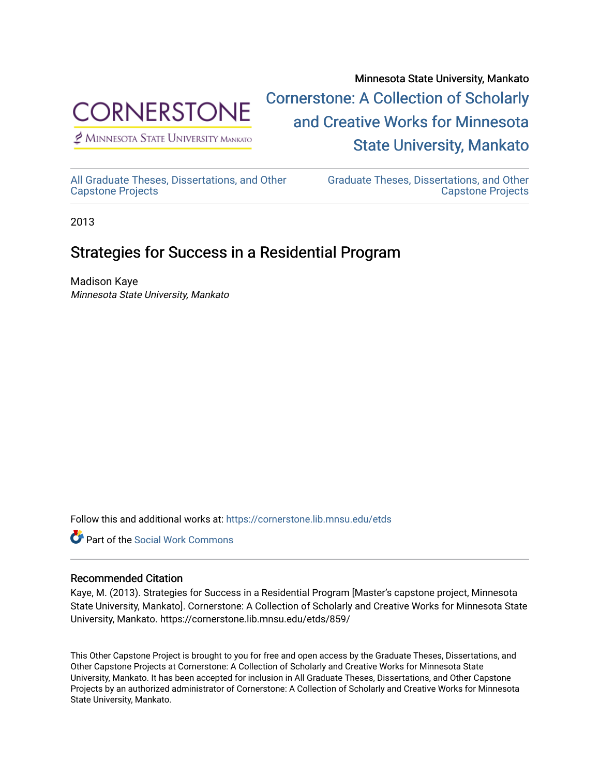

 $<sup>2</sup>$  Minnesota State University Mankato</sup>

Minnesota State University, Mankato [Cornerstone: A Collection of Scholarly](https://cornerstone.lib.mnsu.edu/)  [and Creative Works for Minnesota](https://cornerstone.lib.mnsu.edu/)  [State University, Mankato](https://cornerstone.lib.mnsu.edu/) 

[All Graduate Theses, Dissertations, and Other](https://cornerstone.lib.mnsu.edu/etds)  [Capstone Projects](https://cornerstone.lib.mnsu.edu/etds) 

[Graduate Theses, Dissertations, and Other](https://cornerstone.lib.mnsu.edu/theses_dissertations-capstone)  [Capstone Projects](https://cornerstone.lib.mnsu.edu/theses_dissertations-capstone) 

2013

#### Strategies for Success in a Residential Program

Madison Kaye Minnesota State University, Mankato

Follow this and additional works at: [https://cornerstone.lib.mnsu.edu/etds](https://cornerstone.lib.mnsu.edu/etds?utm_source=cornerstone.lib.mnsu.edu%2Fetds%2F859&utm_medium=PDF&utm_campaign=PDFCoverPages) 



#### Recommended Citation

Kaye, M. (2013). Strategies for Success in a Residential Program [Master's capstone project, Minnesota State University, Mankato]. Cornerstone: A Collection of Scholarly and Creative Works for Minnesota State University, Mankato. https://cornerstone.lib.mnsu.edu/etds/859/

This Other Capstone Project is brought to you for free and open access by the Graduate Theses, Dissertations, and Other Capstone Projects at Cornerstone: A Collection of Scholarly and Creative Works for Minnesota State University, Mankato. It has been accepted for inclusion in All Graduate Theses, Dissertations, and Other Capstone Projects by an authorized administrator of Cornerstone: A Collection of Scholarly and Creative Works for Minnesota State University, Mankato.